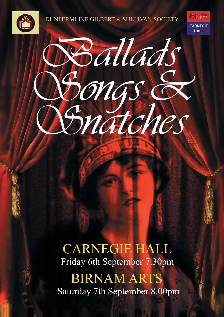

**DUNFERMLINE GILBERT & SULLIVAN SOCIETY** 





**CARNEGIE HALL** Friday 6th September 7.30pm

**BIRNAM ARTS** Saturday 7th September 8.00pm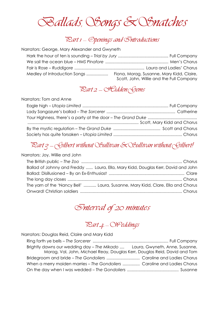Ballads, Songs & Snatches

## Rart 1 - Openings and Sntroductions

Narrators: George, Mary Alexander and Gwyneth

| Medley of Introduction Songs | Fiona, Morag, Susanne, Mary Kidd, Claire,<br>Scott, John, Willie and the Full Company |
|------------------------------|---------------------------------------------------------------------------------------|

## $\mathbb{R}$ art 2 - Hidden Sjems

#### Narrators: Tom and Anne

## $\mathbb{R}$ art  $g$  - Silbert without Sullivan  $\mathcal K$ Sullivan without Silbert!

#### Narrators: Joy, Willie and John

| Ballad of Johnny and Freddy  Laura, Ella, Mary Kidd, Douglas Kerr, David and John |  |
|-----------------------------------------------------------------------------------|--|
|                                                                                   |  |
|                                                                                   |  |
| The yarn of the 'Nancy Bell'  Laura, Susanne, Mary Kidd, Clare, Ella and Chorus   |  |
|                                                                                   |  |

# Interval of 20 minutes

## $\mathbb{R}$ art 4 - Weddings

Narrators: Douglas Reid, Claire and Mary Kidd

| Brightly dawns our wedding day - The Mikado  Laura, Gwyneth, Anne, Susanne, |  |
|-----------------------------------------------------------------------------|--|
| Morag, Val, John, Michael Reay, Douglas Kerr, Douglas Reid, David and Tom   |  |
|                                                                             |  |
| When a merry maiden marries - The Gondoliers  Caroline and Ladies Chorus    |  |
|                                                                             |  |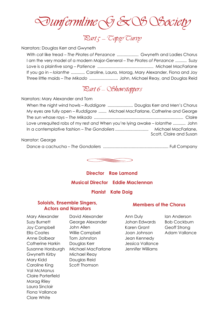Dunfermline & & Society

# $\mathbb{R}$ art $\zeta$  - Copsy Curvy

#### Narrators: Douglas Kerr and Gwyneth

With cat like tread – *The Pirates of Penzance* ................... Gwyneth and Ladies Chorus I am the very model of a modern Major-General – *The Pirates of Penzance* .......... Suzy Love is a plaintive song – *Patience* ................................................. Michael MacFarlane If you go in – *Iolanthe* ............ Caroline, Laura, Morag, Mary Alexander, Fiona and Joy Three little maids – *The Mikado* ......................... John, Michael Reay, and Douglas Reid

### $\mathbb{R}$ art 6 - Showstoppers

#### Narrators: Mary Alexander and Tom

When the night wind howls – *Ruddigore* ...................... Douglas Kerr and Men's Chorus My eyes are fully open – *Ruddigore* ....... Michael MacFarlane, Catherine and George The sun whose rays – *The Mikado* .............................................................................. Claire Love unrequited robs of my rest *and* When you're lying awake – *Iolanthe* ........... John In a contemplative fashion – *The Gondoliers .............................* Michael MacFarlane, Scott, Claire and Susan

#### Narrator: George

Dance a cachucha – *The Gondoliers* ......................................................... Full Company



## **Director Rae Lamond Musical Director Eddie Maclennan**

#### **Pianist Kate Doig**

#### **Soloists, Ensemble Singers, Actors and Narrators**

Mary Alexander Suzy Burnett Joy Campbell Ella Coates Anne Dolbear Catherine Harkin Susanne Horsburgh Michael MacFarlane Gwyneth Kirby Mary Kidd Caroline King Val McManus Claire Porterfield Morag Riley Laura Sinclair Fiona Vallance Clare White

David Alexander George Alexander John Allen Willie Campbell Tom Johnston Douglas Kerr Michael Reay Douglas Reid Scott Thomson

### **Members of the Chorus**

Ann Duly Johan Edwards Karen Grant Joan Johnson Jean Kennedy Jessica Vallance Jennifer Williams

Ian Anderson Bob Cockburn Geoff Strong Adam Vallance